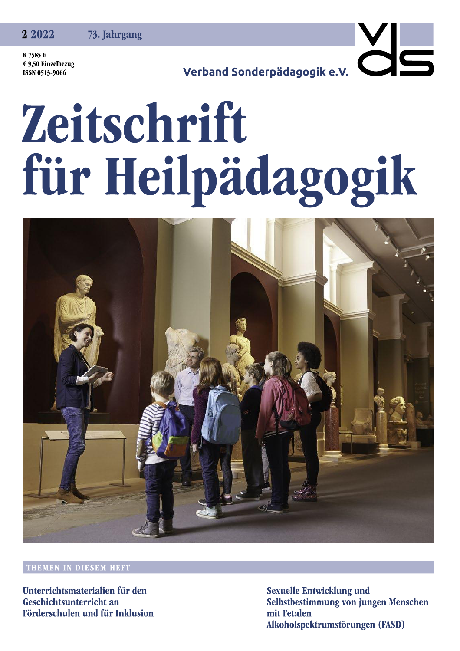2 2 0 2 2 73. Jahrgang

K 7585 E € 9,50 Einzelbezug ISSN 0513-9066

Verband Sonderpädagogik e.V.

## Zeitschrift für Heilpädagogik



## THEMEN IN DIESEM HEFT

Unterrichtsmaterialien für den Geschichtsunterricht an Förderschulen und für Inklusion **Sexuelle Entwicklung und** Selbstbestimmung von jungen Menschen mit Fetalen Alkoholspektrumstörungen (FASD)